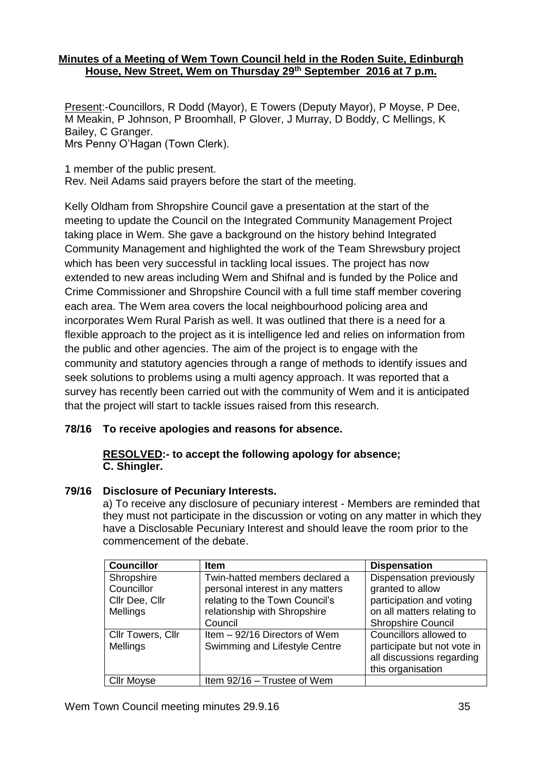## **Minutes of a Meeting of Wem Town Council held in the Roden Suite, Edinburgh House, New Street, Wem on Thursday 29th September 2016 at 7 p.m.**

Present:-Councillors, R Dodd (Mayor), E Towers (Deputy Mayor), P Moyse, P Dee, M Meakin, P Johnson, P Broomhall, P Glover, J Murray, D Boddy, C Mellings, K Bailey, C Granger. Mrs Penny O'Hagan (Town Clerk).

1 member of the public present. Rev. Neil Adams said prayers before the start of the meeting.

Kelly Oldham from Shropshire Council gave a presentation at the start of the meeting to update the Council on the Integrated Community Management Project taking place in Wem. She gave a background on the history behind Integrated Community Management and highlighted the work of the Team Shrewsbury project which has been very successful in tackling local issues. The project has now extended to new areas including Wem and Shifnal and is funded by the Police and Crime Commissioner and Shropshire Council with a full time staff member covering each area. The Wem area covers the local neighbourhood policing area and incorporates Wem Rural Parish as well. It was outlined that there is a need for a flexible approach to the project as it is intelligence led and relies on information from the public and other agencies. The aim of the project is to engage with the community and statutory agencies through a range of methods to identify issues and seek solutions to problems using a multi agency approach. It was reported that a survey has recently been carried out with the community of Wem and it is anticipated that the project will start to tackle issues raised from this research.

# **78/16 To receive apologies and reasons for absence.**

## **RESOLVED:- to accept the following apology for absence; C. Shingler.**

## **79/16 Disclosure of Pecuniary Interests.**

a) To receive any disclosure of pecuniary interest - Members are reminded that they must not participate in the discussion or voting on any matter in which they have a Disclosable Pecuniary Interest and should leave the room prior to the commencement of the debate.

| <b>Councillor</b>                                      | <b>Item</b>                                                                                                                                     | <b>Dispensation</b>                                                                                                                |
|--------------------------------------------------------|-------------------------------------------------------------------------------------------------------------------------------------------------|------------------------------------------------------------------------------------------------------------------------------------|
| Shropshire<br>Councillor<br>Cllr Dee, Cllr<br>Mellings | Twin-hatted members declared a<br>personal interest in any matters<br>relating to the Town Council's<br>relationship with Shropshire<br>Council | Dispensation previously<br>granted to allow<br>participation and voting<br>on all matters relating to<br><b>Shropshire Council</b> |
| Cllr Towers, Cllr<br>Mellings                          | Item - 92/16 Directors of Wem<br>Swimming and Lifestyle Centre                                                                                  | Councillors allowed to<br>participate but not vote in<br>all discussions regarding<br>this organisation                            |
| <b>Cllr Moyse</b>                                      | Item 92/16 - Trustee of Wem                                                                                                                     |                                                                                                                                    |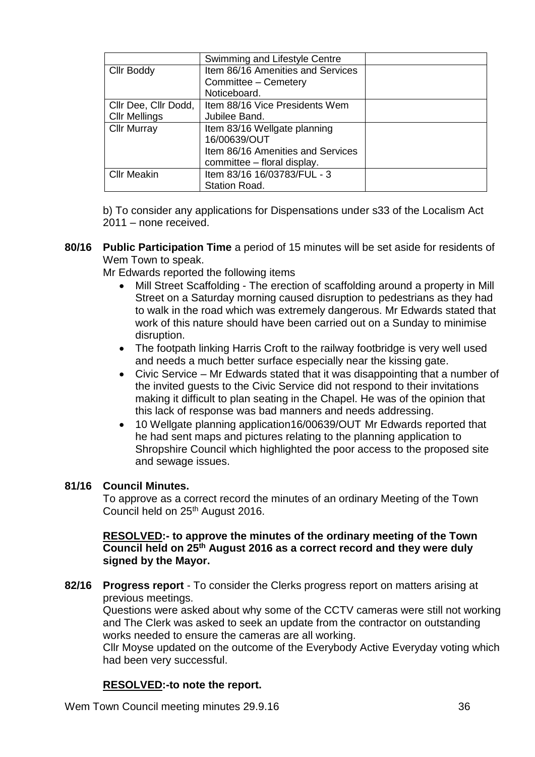|                      | Swimming and Lifestyle Centre     |  |
|----------------------|-----------------------------------|--|
| <b>Cllr Boddy</b>    | Item 86/16 Amenities and Services |  |
|                      | Committee - Cemetery              |  |
|                      | Noticeboard.                      |  |
| Cllr Dee, Cllr Dodd, | Item 88/16 Vice Presidents Wem    |  |
| <b>Cllr Mellings</b> | Jubilee Band.                     |  |
| <b>Cllr Murray</b>   | Item 83/16 Wellgate planning      |  |
|                      | 16/00639/OUT                      |  |
|                      | Item 86/16 Amenities and Services |  |
|                      | committee – floral display.       |  |
| <b>Cllr Meakin</b>   | Item 83/16 16/03783/FUL - 3       |  |
|                      | <b>Station Road.</b>              |  |

b) To consider any applications for Dispensations under s33 of the Localism Act 2011 – none received.

**80/16 Public Participation Time** a period of 15 minutes will be set aside for residents of Wem Town to speak.

Mr Edwards reported the following items

- Mill Street Scaffolding The erection of scaffolding around a property in Mill Street on a Saturday morning caused disruption to pedestrians as they had to walk in the road which was extremely dangerous. Mr Edwards stated that work of this nature should have been carried out on a Sunday to minimise disruption.
- The footpath linking Harris Croft to the railway footbridge is very well used and needs a much better surface especially near the kissing gate.
- Civic Service Mr Edwards stated that it was disappointing that a number of the invited guests to the Civic Service did not respond to their invitations making it difficult to plan seating in the Chapel. He was of the opinion that this lack of response was bad manners and needs addressing.
- 10 Wellgate planning application16/00639/OUT Mr Edwards reported that he had sent maps and pictures relating to the planning application to Shropshire Council which highlighted the poor access to the proposed site and sewage issues.

### **81/16 Council Minutes.**

To approve as a correct record the minutes of an ordinary Meeting of the Town Council held on 25<sup>th</sup> August 2016.

### **RESOLVED:- to approve the minutes of the ordinary meeting of the Town Council held on 25th August 2016 as a correct record and they were duly signed by the Mayor.**

**82/16 Progress report** - To consider the Clerks progress report on matters arising at previous meetings.

Questions were asked about why some of the CCTV cameras were still not working and The Clerk was asked to seek an update from the contractor on outstanding works needed to ensure the cameras are all working.

Cllr Moyse updated on the outcome of the Everybody Active Everyday voting which had been very successful.

## **RESOLVED:-to note the report.**

Wem Town Council meeting minutes 29.9.16 36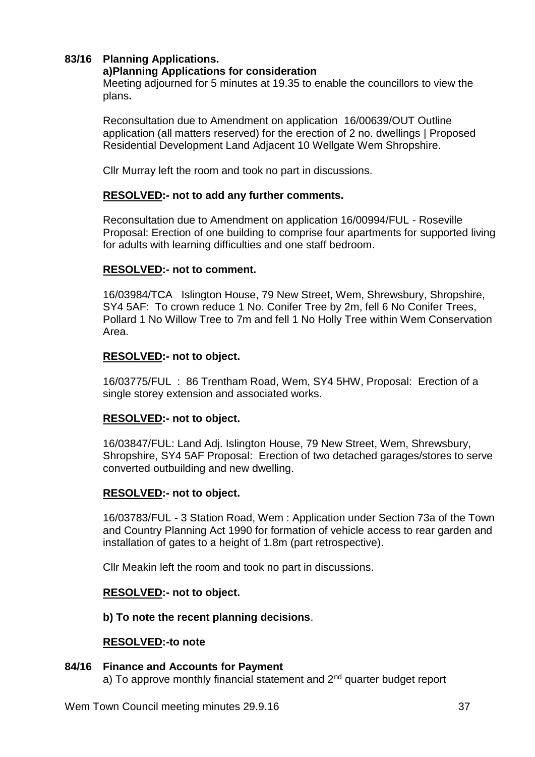## **83/16 Planning Applications.**

### **a)Planning Applications for consideration**

Meeting adjourned for 5 minutes at 19.35 to enable the councillors to view the plans**.**

Reconsultation due to Amendment on application 16/00639/OUT Outline application (all matters reserved) for the erection of 2 no. dwellings | Proposed Residential Development Land Adjacent 10 Wellgate Wem Shropshire.

Cllr Murray left the room and took no part in discussions.

## **RESOLVED:- not to add any further comments.**

Reconsultation due to Amendment on application 16/00994/FUL - Roseville Proposal: Erection of one building to comprise four apartments for supported living for adults with learning difficulties and one staff bedroom.

### **RESOLVED:- not to comment.**

16/03984/TCA Islington House, 79 New Street, Wem, Shrewsbury, Shropshire, SY4 5AF: To crown reduce 1 No. Conifer Tree by 2m, fell 6 No Conifer Trees, Pollard 1 No Willow Tree to 7m and fell 1 No Holly Tree within Wem Conservation Area.

### **RESOLVED:- not to object.**

16/03775/FUL : 86 Trentham Road, Wem, SY4 5HW, Proposal: Erection of a single storey extension and associated works.

### **RESOLVED:- not to object.**

16/03847/FUL: Land Adj. Islington House, 79 New Street, Wem, Shrewsbury, Shropshire, SY4 5AF Proposal: Erection of two detached garages/stores to serve converted outbuilding and new dwelling.

### **RESOLVED:- not to object.**

16/03783/FUL - 3 Station Road, Wem : Application under Section 73a of the Town and Country Planning Act 1990 for formation of vehicle access to rear garden and installation of gates to a height of 1.8m (part retrospective).

Cllr Meakin left the room and took no part in discussions.

### **RESOLVED:- not to object.**

### **b) To note the recent planning decisions**.

### **RESOLVED:-to note**

**84/16 Finance and Accounts for Payment** a) To approve monthly financial statement and  $2<sup>nd</sup>$  quarter budget report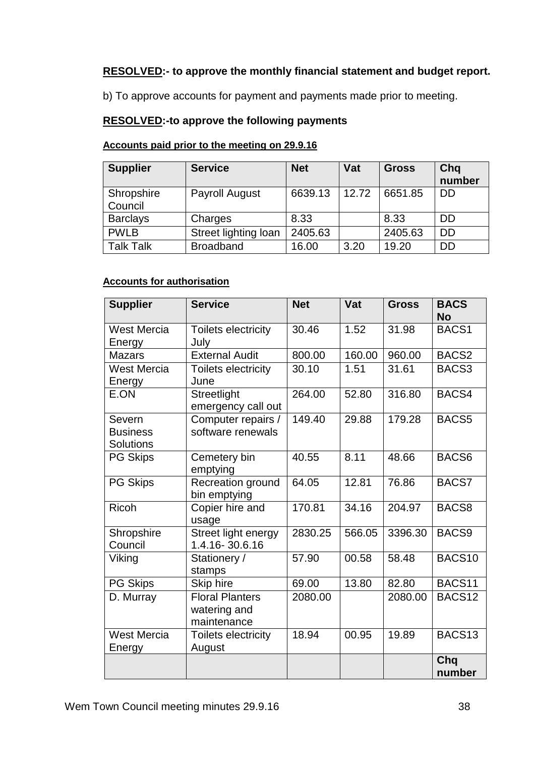# **RESOLVED:- to approve the monthly financial statement and budget report.**

b) To approve accounts for payment and payments made prior to meeting.

# **RESOLVED:-to approve the following payments**

### **Accounts paid prior to the meeting on 29.9.16**

| <b>Supplier</b>       | <b>Service</b>       | <b>Net</b> | Vat   | <b>Gross</b> | Chq<br>number |
|-----------------------|----------------------|------------|-------|--------------|---------------|
| Shropshire<br>Council | Payroll August       | 6639.13    | 12.72 | 6651.85      | DD            |
| <b>Barclays</b>       | Charges              | 8.33       |       | 8.33         | DD            |
| <b>PWLB</b>           | Street lighting loan | 2405.63    |       | 2405.63      | <b>DD</b>     |
| <b>Talk Talk</b>      | <b>Broadband</b>     | 16.00      | 3.20  | 19.20        | DD            |

## **Accounts for authorisation**

| <b>Supplier</b>                        | <b>Service</b>                                        | <b>Net</b> | Vat    | <b>Gross</b> | <b>BACS</b><br><b>No</b> |
|----------------------------------------|-------------------------------------------------------|------------|--------|--------------|--------------------------|
| <b>West Mercia</b><br>Energy           | Toilets electricity<br>July                           | 30.46      | 1.52   | 31.98        | BACS1                    |
| <b>Mazars</b>                          | <b>External Audit</b>                                 | 800.00     | 160.00 | 960.00       | BACS2                    |
| <b>West Mercia</b><br>Energy           | <b>Toilets electricity</b><br>June                    | 30.10      | 1.51   | 31.61        | BACS3                    |
| E.ON                                   | Streetlight<br>emergency call out                     | 264.00     | 52.80  | 316.80       | BACS4                    |
| Severn<br><b>Business</b><br>Solutions | Computer repairs /<br>software renewals               | 149.40     | 29.88  | 179.28       | BACS <sub>5</sub>        |
| <b>PG Skips</b>                        | Cemetery bin<br>emptying                              | 40.55      | 8.11   | 48.66        | BACS <sub>6</sub>        |
| <b>PG Skips</b>                        | Recreation ground<br>bin emptying                     | 64.05      | 12.81  | 76.86        | BACS7                    |
| <b>Ricoh</b>                           | Copier hire and<br>usage                              | 170.81     | 34.16  | 204.97       | BACS8                    |
| Shropshire<br>Council                  | Street light energy<br>1.4.16-30.6.16                 | 2830.25    | 566.05 | 3396.30      | BACS9                    |
| Viking                                 | Stationery /<br>stamps                                | 57.90      | 00.58  | 58.48        | BACS <sub>10</sub>       |
| PG Skips                               | Skip hire                                             | 69.00      | 13.80  | 82.80        | BACS11                   |
| D. Murray                              | <b>Floral Planters</b><br>watering and<br>maintenance | 2080.00    |        | 2080.00      | BACS <sub>12</sub>       |
| <b>West Mercia</b><br>Energy           | <b>Toilets electricity</b><br>August                  | 18.94      | 00.95  | 19.89        | BACS <sub>13</sub>       |
|                                        |                                                       |            |        |              | Chq<br>number            |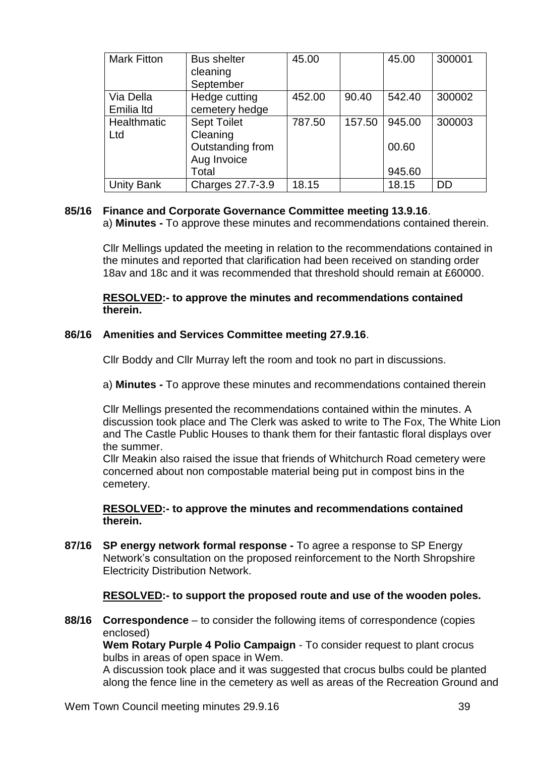| <b>Mark Fitton</b> | <b>Bus shelter</b> | 45.00  |        | 45.00  | 300001 |
|--------------------|--------------------|--------|--------|--------|--------|
|                    | cleaning           |        |        |        |        |
|                    | September          |        |        |        |        |
| Via Della          | Hedge cutting      | 452.00 | 90.40  | 542.40 | 300002 |
| Emilia Itd         | cemetery hedge     |        |        |        |        |
| Healthmatic        | <b>Sept Toilet</b> | 787.50 | 157.50 | 945.00 | 300003 |
| Ltd                | Cleaning           |        |        |        |        |
|                    | Outstanding from   |        |        | 00.60  |        |
|                    | Aug Invoice        |        |        |        |        |
|                    | Total              |        |        | 945.60 |        |
| <b>Unity Bank</b>  | Charges 27.7-3.9   | 18.15  |        | 18.15  | DD     |

### **85/16 Finance and Corporate Governance Committee meeting 13.9.16**.

a) **Minutes -** To approve these minutes and recommendations contained therein.

Cllr Mellings updated the meeting in relation to the recommendations contained in the minutes and reported that clarification had been received on standing order 18av and 18c and it was recommended that threshold should remain at £60000.

**RESOLVED:- to approve the minutes and recommendations contained therein.**

### **86/16 Amenities and Services Committee meeting 27.9.16**.

Cllr Boddy and Cllr Murray left the room and took no part in discussions.

a) **Minutes -** To approve these minutes and recommendations contained therein

Cllr Mellings presented the recommendations contained within the minutes. A discussion took place and The Clerk was asked to write to The Fox, The White Lion and The Castle Public Houses to thank them for their fantastic floral displays over the summer.

Cllr Meakin also raised the issue that friends of Whitchurch Road cemetery were concerned about non compostable material being put in compost bins in the cemetery.

#### **RESOLVED:- to approve the minutes and recommendations contained therein.**

**87/16 SP energy network formal response -** To agree a response to SP Energy Network's consultation on the proposed reinforcement to the North Shropshire Electricity Distribution Network.

### **RESOLVED:- to support the proposed route and use of the wooden poles.**

**88/16 Correspondence** – to consider the following items of correspondence (copies enclosed)

**Wem Rotary Purple 4 Polio Campaign** - To consider request to plant crocus bulbs in areas of open space in Wem.

A discussion took place and it was suggested that crocus bulbs could be planted along the fence line in the cemetery as well as areas of the Recreation Ground and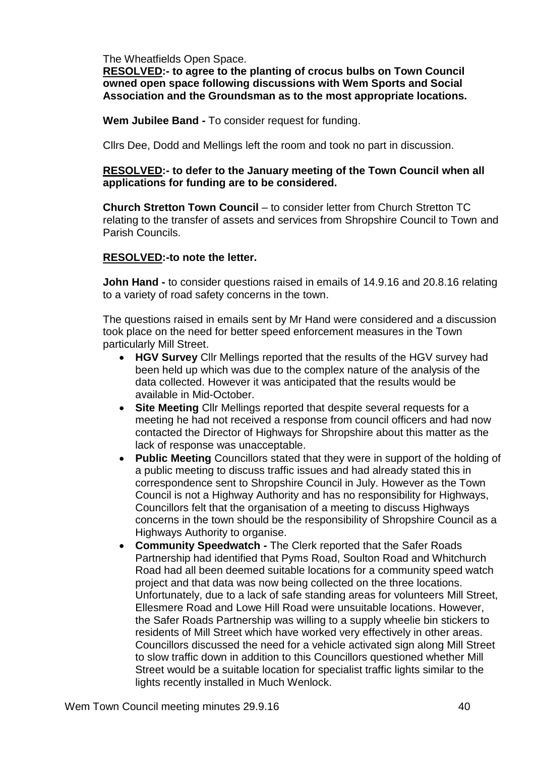The Wheatfields Open Space.

**RESOLVED:- to agree to the planting of crocus bulbs on Town Council owned open space following discussions with Wem Sports and Social Association and the Groundsman as to the most appropriate locations.**

**Wem Jubilee Band -** To consider request for funding.

Cllrs Dee, Dodd and Mellings left the room and took no part in discussion.

### **RESOLVED:- to defer to the January meeting of the Town Council when all applications for funding are to be considered.**

**Church Stretton Town Council** – to consider letter from Church Stretton TC relating to the transfer of assets and services from Shropshire Council to Town and Parish Councils.

### **RESOLVED:-to note the letter.**

**John Hand -** to consider questions raised in emails of 14.9.16 and 20.8.16 relating to a variety of road safety concerns in the town.

The questions raised in emails sent by Mr Hand were considered and a discussion took place on the need for better speed enforcement measures in the Town particularly Mill Street.

- **HGV Survey** Cllr Mellings reported that the results of the HGV survey had been held up which was due to the complex nature of the analysis of the data collected. However it was anticipated that the results would be available in Mid-October.
- **Site Meeting** Cllr Mellings reported that despite several requests for a meeting he had not received a response from council officers and had now contacted the Director of Highways for Shropshire about this matter as the lack of response was unacceptable.
- **Public Meeting** Councillors stated that they were in support of the holding of a public meeting to discuss traffic issues and had already stated this in correspondence sent to Shropshire Council in July. However as the Town Council is not a Highway Authority and has no responsibility for Highways, Councillors felt that the organisation of a meeting to discuss Highways concerns in the town should be the responsibility of Shropshire Council as a Highways Authority to organise.
- **Community Speedwatch -** The Clerk reported that the Safer Roads Partnership had identified that Pyms Road, Soulton Road and Whitchurch Road had all been deemed suitable locations for a community speed watch project and that data was now being collected on the three locations. Unfortunately, due to a lack of safe standing areas for volunteers Mill Street, Ellesmere Road and Lowe Hill Road were unsuitable locations. However, the Safer Roads Partnership was willing to a supply wheelie bin stickers to residents of Mill Street which have worked very effectively in other areas. Councillors discussed the need for a vehicle activated sign along Mill Street to slow traffic down in addition to this Councillors questioned whether Mill Street would be a suitable location for specialist traffic lights similar to the lights recently installed in Much Wenlock.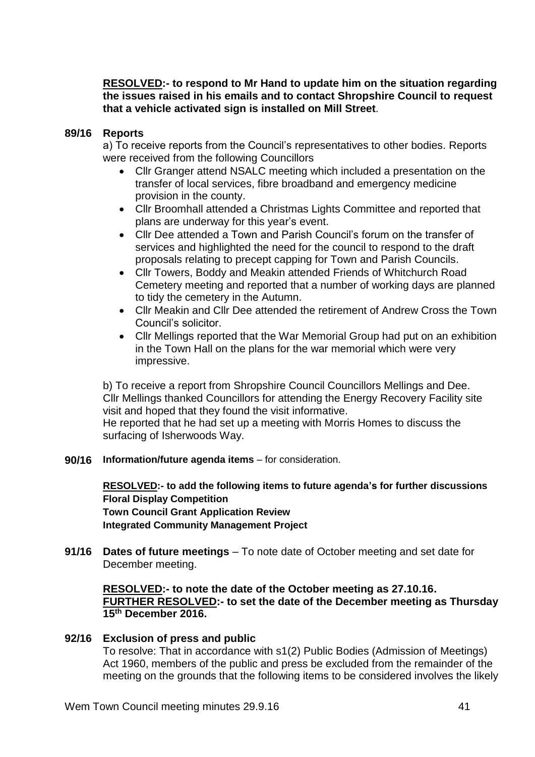**RESOLVED:- to respond to Mr Hand to update him on the situation regarding the issues raised in his emails and to contact Shropshire Council to request that a vehicle activated sign is installed on Mill Street**.

#### **89/16 Reports**

a) To receive reports from the Council's representatives to other bodies. Reports were received from the following Councillors

- Cllr Granger attend NSALC meeting which included a presentation on the transfer of local services, fibre broadband and emergency medicine provision in the county.
- Cllr Broomhall attended a Christmas Lights Committee and reported that plans are underway for this year's event.
- Cllr Dee attended a Town and Parish Council's forum on the transfer of services and highlighted the need for the council to respond to the draft proposals relating to precept capping for Town and Parish Councils.
- Cllr Towers, Boddy and Meakin attended Friends of Whitchurch Road Cemetery meeting and reported that a number of working days are planned to tidy the cemetery in the Autumn.
- Cllr Meakin and Cllr Dee attended the retirement of Andrew Cross the Town Council's solicitor.
- Cllr Mellings reported that the War Memorial Group had put on an exhibition in the Town Hall on the plans for the war memorial which were very impressive.

b) To receive a report from Shropshire Council Councillors Mellings and Dee. Cllr Mellings thanked Councillors for attending the Energy Recovery Facility site visit and hoped that they found the visit informative. He reported that he had set up a meeting with Morris Homes to discuss the surfacing of Isherwoods Way.

**90/16 Information/future agenda items** – for consideration.

**RESOLVED:- to add the following items to future agenda's for further discussions Floral Display Competition Town Council Grant Application Review Integrated Community Management Project**

**91/16 Dates of future meetings** – To note date of October meeting and set date for December meeting.

### **RESOLVED:- to note the date of the October meeting as 27.10.16. FURTHER RESOLVED:- to set the date of the December meeting as Thursday 15th December 2016.**

#### **92/16 Exclusion of press and public**  To resolve: That in accordance with s1(2) Public Bodies (Admission of Meetings) Act 1960, members of the public and press be excluded from the remainder of the meeting on the grounds that the following items to be considered involves the likely